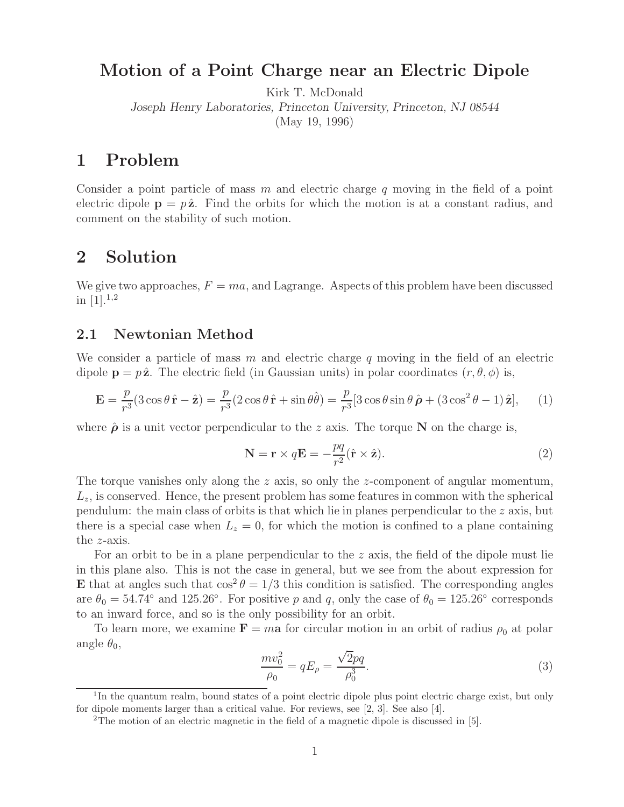# **Motion of a Point Charge near an Electric Dipole**

Kirk T. McDonald

*Joseph Henry Laboratories, Princeton University, Princeton, NJ 08544*

(May 19, 1996)

### **1 Problem**

Consider a point particle of mass m and electric charge q moving in the field of a point electric dipole  $p = p\hat{z}$ . Find the orbits for which the motion is at a constant radius, and comment on the stability of such motion.

### **2 Solution**

We give two approaches,  $F = ma$ , and Lagrange. Aspects of this problem have been discussed in  $[1].^{1,2}$ 

### **2.1 Newtonian Method**

We consider a particle of mass  $m$  and electric charge  $q$  moving in the field of an electric dipole  $\mathbf{p} = p\hat{\mathbf{z}}$ . The electric field (in Gaussian units) in polar coordinates  $(r, \theta, \phi)$  is,

$$
\mathbf{E} = \frac{p}{r^3} (3\cos\theta \,\hat{\mathbf{r}} - \hat{\mathbf{z}}) = \frac{p}{r^3} (2\cos\theta \,\hat{\mathbf{r}} + \sin\theta \hat{\theta}) = \frac{p}{r^3} [3\cos\theta \sin\theta \,\hat{\boldsymbol{\rho}} + (3\cos^2\theta - 1) \,\hat{\mathbf{z}}],\qquad(1)
$$

where  $\hat{\rho}$  is a unit vector perpendicular to the z axis. The torque **N** on the charge is,

$$
\mathbf{N} = \mathbf{r} \times q\mathbf{E} = -\frac{pq}{r^2} (\hat{\mathbf{r}} \times \hat{\mathbf{z}}).
$$
 (2)

The torque vanishes only along the z axis, so only the z-component of angular momentum,  $L<sub>z</sub>$ , is conserved. Hence, the present problem has some features in common with the spherical pendulum: the main class of orbits is that which lie in planes perpendicular to the z axis, but there is a special case when  $L_z = 0$ , for which the motion is confined to a plane containing the z-axis.

For an orbit to be in a plane perpendicular to the z axis, the field of the dipole must lie in this plane also. This is not the case in general, but we see from the about expression for **E** that at angles such that  $\cos^2 \theta = 1/3$  this condition is satisfied. The corresponding angles are  $\theta_0 = 54.74°$  and 125.26°. For positive p and q, only the case of  $\theta_0 = 125.26°$  corresponds to an inward force, and so is the only possibility for an orbit.

To learn more, we examine  $\mathbf{F} = m\mathbf{a}$  for circular motion in an orbit of radius  $\rho_0$  at polar angle  $\theta_0$ ,

$$
\frac{mv_0^2}{\rho_0} = qE_\rho = \frac{\sqrt{2}pq}{\rho_0^3}.
$$
\n(3)

 $1$ In the quantum realm, bound states of a point electric dipole plus point electric charge exist, but only for dipole moments larger than a critical value. For reviews, see [2, 3]. See also [4].

<sup>2</sup>The motion of an electric magnetic in the field of a magnetic dipole is discussed in [5].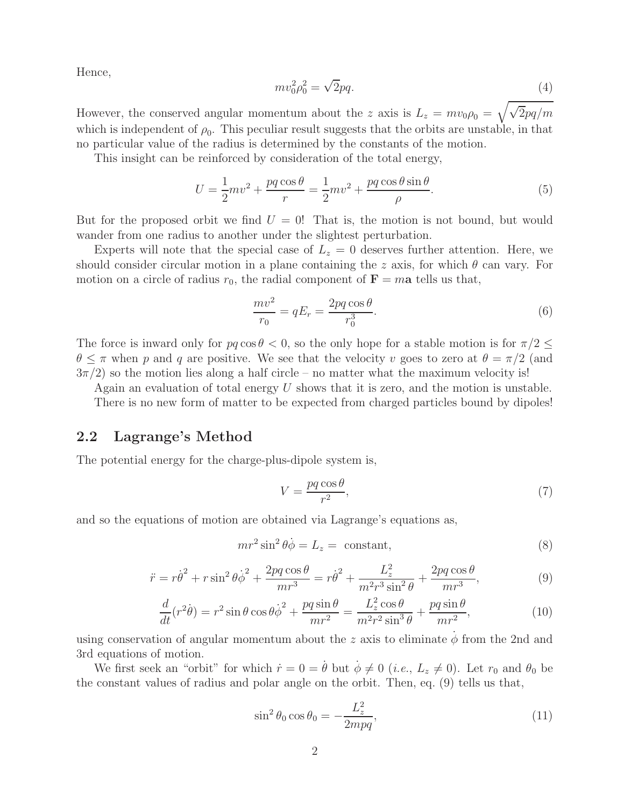Hence,

$$
mv_0^2 \rho_0^2 = \sqrt{2}pq. \tag{4}
$$

However, the conserved angular momentum about the z axis is  $L_z = mv_0 \rho_0 = \sqrt{\sqrt{2pq/m}}$ which is independent of  $\rho_0$ . This peculiar result suggests that the orbits are unstable, in that no particular value of the radius is determined by the constants of the motion.

This insight can be reinforced by consideration of the total energy,

$$
U = \frac{1}{2}mv^2 + \frac{pq\cos\theta}{r} = \frac{1}{2}mv^2 + \frac{pq\cos\theta\sin\theta}{\rho}.
$$
 (5)

But for the proposed orbit we find  $U = 0!$  That is, the motion is not bound, but would wander from one radius to another under the slightest perturbation.

Experts will note that the special case of  $L<sub>z</sub> = 0$  deserves further attention. Here, we should consider circular motion in a plane containing the z axis, for which  $\theta$  can vary. For motion on a circle of radius  $r_0$ , the radial component of  $\mathbf{F} = m\mathbf{a}$  tells us that,

$$
\frac{mv^2}{r_0} = qE_r = \frac{2pq\cos\theta}{r_0^3}.
$$
\n(6)

The force is inward only for  $pq \cos \theta < 0$ , so the only hope for a stable motion is for  $\pi/2 \leq$  $\theta \leq \pi$  when p and q are positive. We see that the velocity v goes to zero at  $\theta = \pi/2$  (and  $3\pi/2$ ) so the motion lies along a half circle – no matter what the maximum velocity is!

Again an evaluation of total energy  $U$  shows that it is zero, and the motion is unstable.

There is no new form of matter to be expected from charged particles bound by dipoles!

#### **2.2 Lagrange's Method**

The potential energy for the charge-plus-dipole system is,

$$
V = \frac{pq\cos\theta}{r^2},\tag{7}
$$

and so the equations of motion are obtained via Lagrange's equations as,

$$
mr^2 \sin^2 \theta \dot{\phi} = L_z = \text{ constant},\tag{8}
$$

$$
\ddot{r} = r\dot{\theta}^2 + r\sin^2\theta \dot{\phi}^2 + \frac{2pq\cos\theta}{mr^3} = r\dot{\theta}^2 + \frac{L_z^2}{m^2r^3\sin^2\theta} + \frac{2pq\cos\theta}{mr^3},
$$
(9)

$$
\frac{d}{dt}(r^2\dot{\theta}) = r^2 \sin\theta \cos\theta \dot{\phi}^2 + \frac{pq\sin\theta}{mr^2} = \frac{L_z^2 \cos\theta}{m^2r^2 \sin^3\theta} + \frac{pq\sin\theta}{mr^2},\tag{10}
$$

using conservation of angular momentum about the z axis to eliminate  $\phi$  from the 2nd and 3rd equations of motion.

We first seek an "orbit" for which  $\dot{r} = 0 = \dot{\theta}$  but  $\dot{\phi} \neq 0$  (*i.e.*,  $L_z \neq 0$ ). Let  $r_0$  and  $\theta_0$  be the constant values of radius and polar angle on the orbit. Then, eq. (9) tells us that,

$$
\sin^2 \theta_0 \cos \theta_0 = -\frac{L_z^2}{2mpq},\tag{11}
$$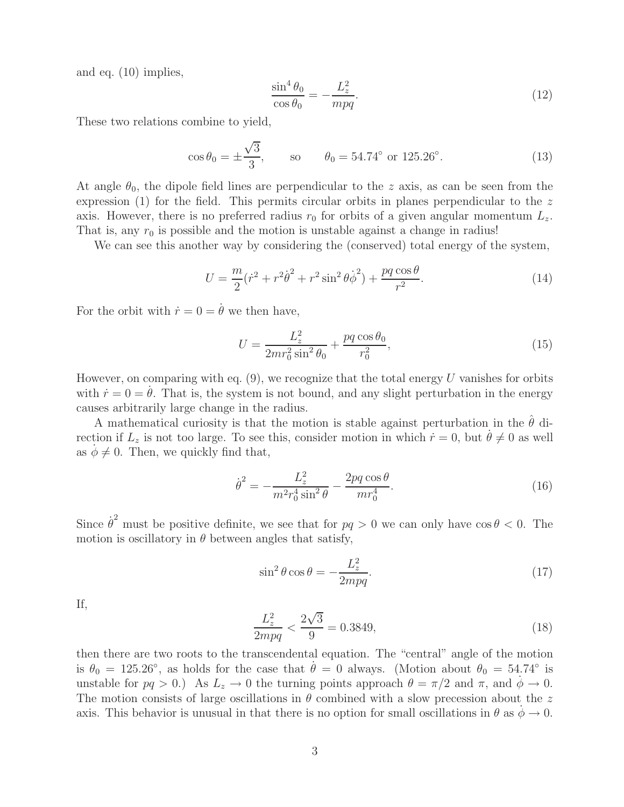and eq. (10) implies,

$$
\frac{\sin^4 \theta_0}{\cos \theta_0} = -\frac{L_z^2}{mpq}.\tag{12}
$$

These two relations combine to yield,

$$
\cos \theta_0 = \pm \frac{\sqrt{3}}{3}
$$
, so  $\theta_0 = 54.74^\circ \text{ or } 125.26^\circ$ . (13)

At angle  $\theta_0$ , the dipole field lines are perpendicular to the z axis, as can be seen from the expression (1) for the field. This permits circular orbits in planes perpendicular to the  $z$ axis. However, there is no preferred radius  $r_0$  for orbits of a given angular momentum  $L_z$ . That is, any  $r_0$  is possible and the motion is unstable against a change in radius!

We can see this another way by considering the (conserved) total energy of the system,

$$
U = \frac{m}{2}(\dot{r}^2 + r^2\dot{\theta}^2 + r^2\sin^2\theta\dot{\phi}^2) + \frac{pq\cos\theta}{r^2}.
$$
 (14)

For the orbit with  $\dot{r} = 0 = \dot{\theta}$  we then have,

$$
U = \frac{L_z^2}{2mr_0^2\sin^2\theta_0} + \frac{pq\cos\theta_0}{r_0^2},\tag{15}
$$

However, on comparing with eq.  $(9)$ , we recognize that the total energy U vanishes for orbits with  $\dot{r} = 0 = \dot{\theta}$ . That is, the system is not bound, and any slight perturbation in the energy causes arbitrarily large change in the radius.

A mathematical curiosity is that the motion is stable against perturbation in the  $\hat{\theta}$  direction if  $L_z$  is not too large. To see this, consider motion in which  $\dot{r} = 0$ , but  $\dot{\theta} \neq 0$  as well as  $\phi \neq 0$ . Then, we quickly find that,

$$
\dot{\theta}^2 = -\frac{L_z^2}{m^2 r_0^4 \sin^2 \theta} - \frac{2pq \cos \theta}{mr_0^4}.
$$
\n(16)

Since  $\dot{\theta}^2$  must be positive definite, we see that for  $pq > 0$  we can only have  $\cos \theta < 0$ . The motion is oscillatory in  $\theta$  between angles that satisfy,

$$
\sin^2 \theta \cos \theta = -\frac{L_z^2}{2mpq}.\tag{17}
$$

If,

$$
\frac{L_z^2}{2mpq} < \frac{2\sqrt{3}}{9} = 0.3849,\tag{18}
$$

then there are two roots to the transcendental equation. The "central" angle of the motion is  $\theta_0 = 125.26^\circ$ , as holds for the case that  $\dot{\theta} = 0$  always. (Motion about  $\theta_0 = 54.74^\circ$  is unstable for  $pq > 0$ .) As  $L_z \to 0$  the turning points approach  $\theta = \pi/2$  and  $\pi$ , and  $\phi \to 0$ . The motion consists of large oscillations in  $\theta$  combined with a slow precession about the z axis. This behavior is unusual in that there is no option for small oscillations in  $\theta$  as  $\dot{\phi} \to 0$ .